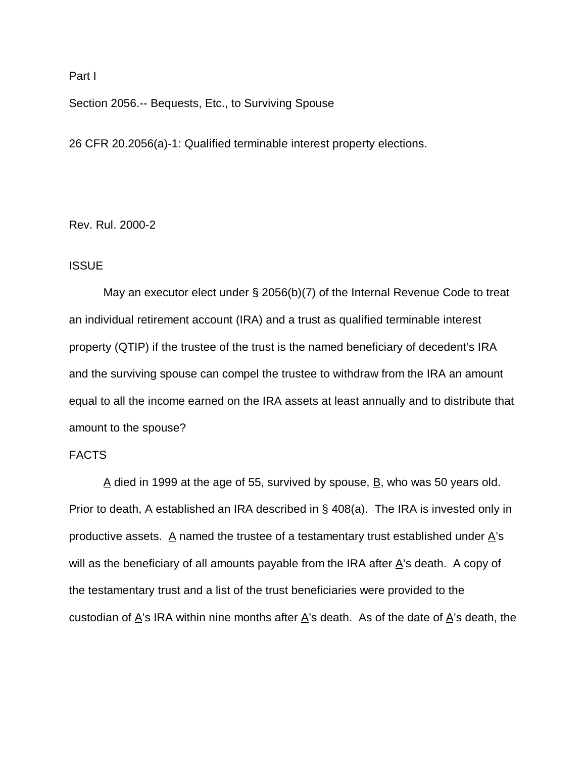### Part I

Section 2056.-- Bequests, Etc., to Surviving Spouse

26 CFR 20.2056(a)-1: Qualified terminable interest property elections.

Rev. Rul. 2000-2

## **ISSUE**

May an executor elect under § 2056(b)(7) of the Internal Revenue Code to treat an individual retirement account (IRA) and a trust as qualified terminable interest property (QTIP) if the trustee of the trust is the named beneficiary of decedent's IRA and the surviving spouse can compel the trustee to withdraw from the IRA an amount equal to all the income earned on the IRA assets at least annually and to distribute that amount to the spouse?

# FACTS

 $\Delta$  died in 1999 at the age of 55, survived by spouse,  $\Delta$ , who was 50 years old. Prior to death,  $\underline{A}$  established an IRA described in § 408(a). The IRA is invested only in productive assets.  $\overline{A}$  named the trustee of a testamentary trust established under  $\overline{A}$ 's will as the beneficiary of all amounts payable from the IRA after  $\underline{A}$ 's death. A copy of the testamentary trust and a list of the trust beneficiaries were provided to the custodian of  $\underline{A}$ 's IRA within nine months after  $\underline{A}$ 's death. As of the date of  $\underline{A}$ 's death, the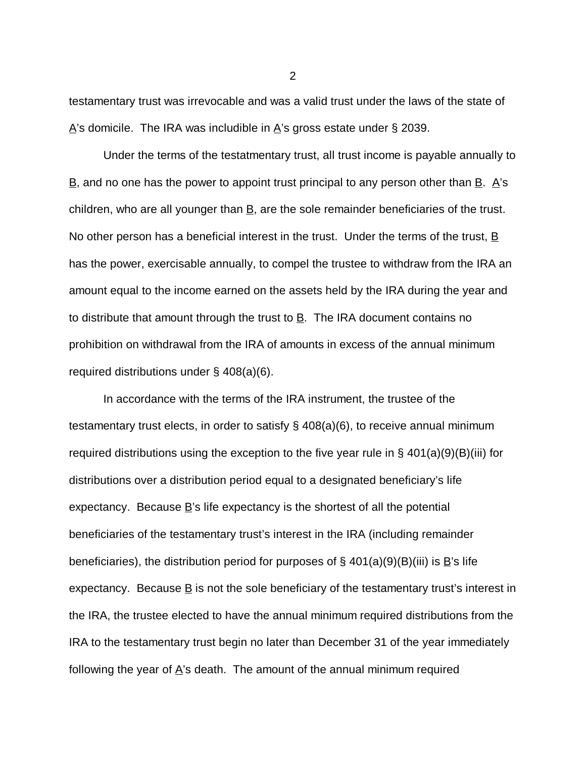testamentary trust was irrevocable and was a valid trust under the laws of the state of  $\Delta$ 's domicile. The IRA was includible in  $\Delta$ 's gross estate under § 2039.

Under the terms of the testatmentary trust, all trust income is payable annually to  $\underline{B}$ , and no one has the power to appoint trust principal to any person other than  $\underline{B}$ .  $\underline{A}$ 's children, who are all younger than  $\underline{B}$ , are the sole remainder beneficiaries of the trust. No other person has a beneficial interest in the trust. Under the terms of the trust,  $\underline{B}$ has the power, exercisable annually, to compel the trustee to withdraw from the IRA an amount equal to the income earned on the assets held by the IRA during the year and to distribute that amount through the trust to  $\underline{B}$ . The IRA document contains no prohibition on withdrawal from the IRA of amounts in excess of the annual minimum required distributions under § 408(a)(6).

In accordance with the terms of the IRA instrument, the trustee of the testamentary trust elects, in order to satisfy § 408(a)(6), to receive annual minimum required distributions using the exception to the five year rule in § 401(a)(9)(B)(iii) for distributions over a distribution period equal to a designated beneficiary's life expectancy. Because B's life expectancy is the shortest of all the potential beneficiaries of the testamentary trust's interest in the IRA (including remainder beneficiaries), the distribution period for purposes of  $\S$  401(a)(9)(B)(iii) is B's life expectancy. Because  $\underline{B}$  is not the sole beneficiary of the testamentary trust's interest in the IRA, the trustee elected to have the annual minimum required distributions from the IRA to the testamentary trust begin no later than December 31 of the year immediately following the year of  $\underline{A}$ 's death. The amount of the annual minimum required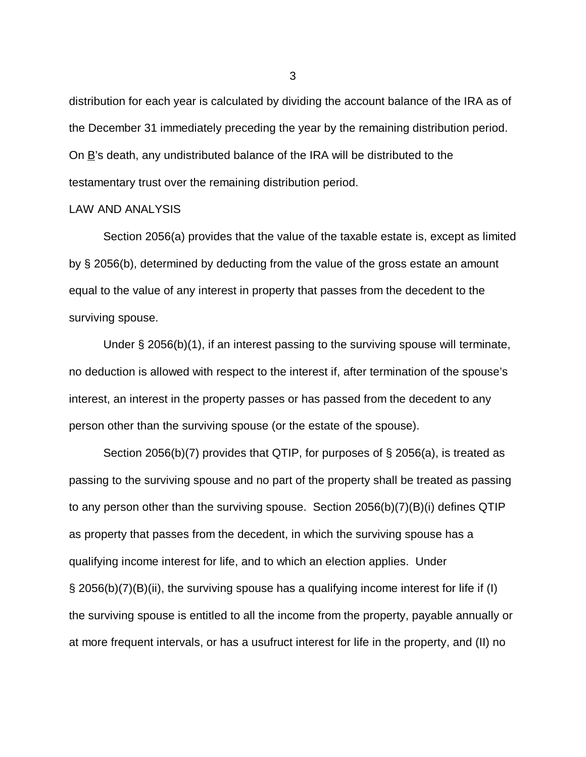distribution for each year is calculated by dividing the account balance of the IRA as of the December 31 immediately preceding the year by the remaining distribution period. On  $\underline{B}$ 's death, any undistributed balance of the IRA will be distributed to the testamentary trust over the remaining distribution period.

### LAW AND ANALYSIS

Section 2056(a) provides that the value of the taxable estate is, except as limited by § 2056(b), determined by deducting from the value of the gross estate an amount equal to the value of any interest in property that passes from the decedent to the surviving spouse.

Under § 2056(b)(1), if an interest passing to the surviving spouse will terminate, no deduction is allowed with respect to the interest if, after termination of the spouse's interest, an interest in the property passes or has passed from the decedent to any person other than the surviving spouse (or the estate of the spouse).

Section 2056(b)(7) provides that QTIP, for purposes of § 2056(a), is treated as passing to the surviving spouse and no part of the property shall be treated as passing to any person other than the surviving spouse. Section 2056(b)(7)(B)(i) defines QTIP as property that passes from the decedent, in which the surviving spouse has a qualifying income interest for life, and to which an election applies. Under § 2056(b)(7)(B)(ii), the surviving spouse has a qualifying income interest for life if (I) the surviving spouse is entitled to all the income from the property, payable annually or at more frequent intervals, or has a usufruct interest for life in the property, and (II) no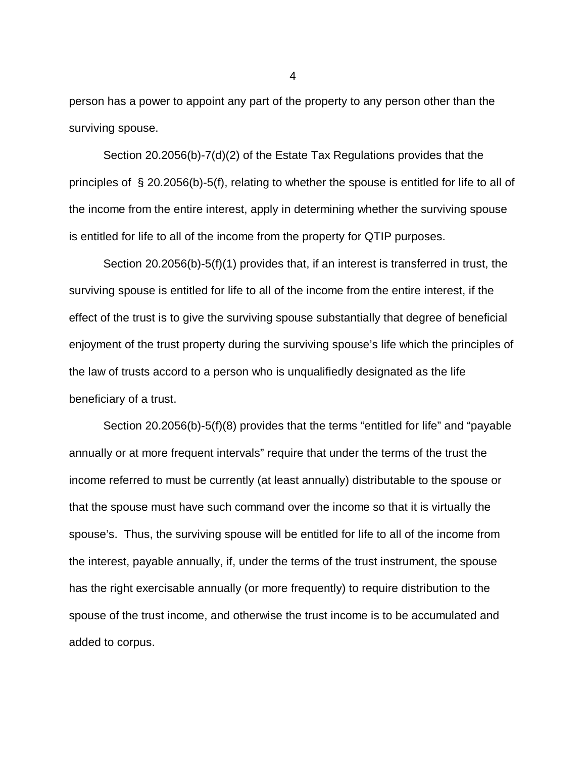person has a power to appoint any part of the property to any person other than the surviving spouse.

Section 20.2056(b)-7(d)(2) of the Estate Tax Regulations provides that the principles of § 20.2056(b)-5(f), relating to whether the spouse is entitled for life to all of the income from the entire interest, apply in determining whether the surviving spouse is entitled for life to all of the income from the property for QTIP purposes.

Section 20.2056(b)-5(f)(1) provides that, if an interest is transferred in trust, the surviving spouse is entitled for life to all of the income from the entire interest, if the effect of the trust is to give the surviving spouse substantially that degree of beneficial enjoyment of the trust property during the surviving spouse's life which the principles of the law of trusts accord to a person who is unqualifiedly designated as the life beneficiary of a trust.

Section 20.2056(b)-5(f)(8) provides that the terms "entitled for life" and "payable annually or at more frequent intervals" require that under the terms of the trust the income referred to must be currently (at least annually) distributable to the spouse or that the spouse must have such command over the income so that it is virtually the spouse's. Thus, the surviving spouse will be entitled for life to all of the income from the interest, payable annually, if, under the terms of the trust instrument, the spouse has the right exercisable annually (or more frequently) to require distribution to the spouse of the trust income, and otherwise the trust income is to be accumulated and added to corpus.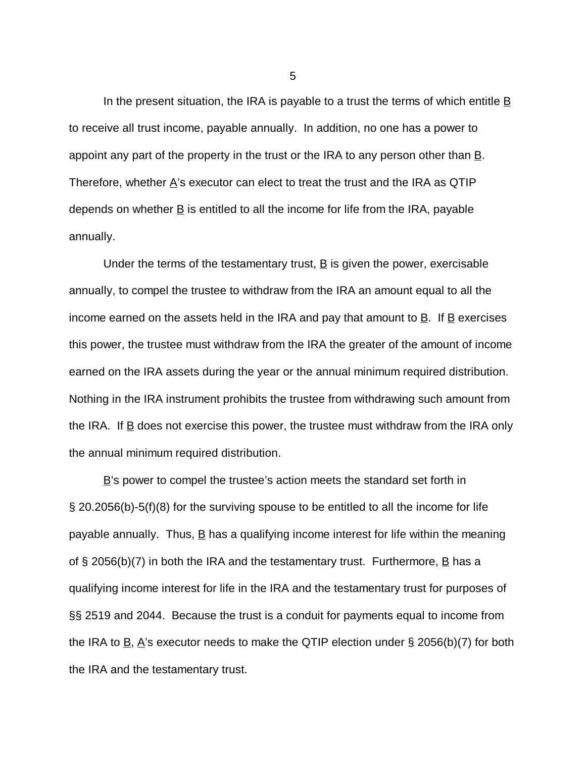In the present situation, the IRA is payable to a trust the terms of which entitle  $\underline{B}$ to receive all trust income, payable annually. In addition, no one has a power to appoint any part of the property in the trust or the IRA to any person other than  $\underline{B}$ . Therefore, whether  $\underline{A}$ 's executor can elect to treat the trust and the IRA as QTIP depends on whether  $\underline{B}$  is entitled to all the income for life from the IRA, payable annually.

Under the terms of the testamentary trust, B is given the power, exercisable annually, to compel the trustee to withdraw from the IRA an amount equal to all the income earned on the assets held in the IRA and pay that amount to  $\underline{B}$ . If  $\underline{B}$  exercises this power, the trustee must withdraw from the IRA the greater of the amount of income earned on the IRA assets during the year or the annual minimum required distribution. Nothing in the IRA instrument prohibits the trustee from withdrawing such amount from the IRA. If  $\underline{B}$  does not exercise this power, the trustee must withdraw from the IRA only the annual minimum required distribution.

 $\underline{B}$ 's power to compel the trustee's action meets the standard set forth in § 20.2056(b)-5(f)(8) for the surviving spouse to be entitled to all the income for life payable annually. Thus,  $\underline{B}$  has a qualifying income interest for life within the meaning of § 2056(b)(7) in both the IRA and the testamentary trust. Furthermore,  $\underline{B}$  has a qualifying income interest for life in the IRA and the testamentary trust for purposes of §§ 2519 and 2044. Because the trust is a conduit for payments equal to income from the IRA to  $B$ , A's executor needs to make the QTIP election under § 2056(b)(7) for both the IRA and the testamentary trust.